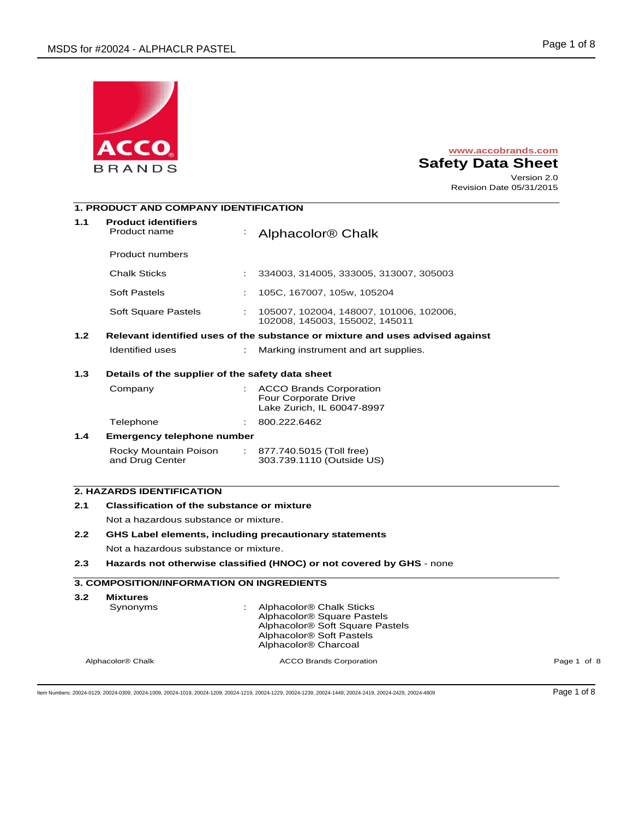

# **www.accobrands.com Safety Data Sheet**  Version 2.0

Revision Date 05/31/2015

# **1. PRODUCT AND COMPANY IDENTIFICATION**

| 1.1              | <b>Product identifiers</b><br>Product name                           |                                                                               | Alphacolor <sup>®</sup> Chalk                                                                                                                                                                 |             |  |  |  |
|------------------|----------------------------------------------------------------------|-------------------------------------------------------------------------------|-----------------------------------------------------------------------------------------------------------------------------------------------------------------------------------------------|-------------|--|--|--|
|                  | <b>Product numbers</b>                                               |                                                                               |                                                                                                                                                                                               |             |  |  |  |
|                  | <b>Chalk Sticks</b>                                                  |                                                                               | 334003, 314005, 333005, 313007, 305003                                                                                                                                                        |             |  |  |  |
|                  | <b>Soft Pastels</b>                                                  | ÷                                                                             | 105C, 167007, 105w, 105204                                                                                                                                                                    |             |  |  |  |
|                  | Soft Square Pastels                                                  |                                                                               | 105007, 102004, 148007, 101006, 102006,<br>102008, 145003, 155002, 145011                                                                                                                     |             |  |  |  |
| 1.2 <sub>1</sub> |                                                                      | Relevant identified uses of the substance or mixture and uses advised against |                                                                                                                                                                                               |             |  |  |  |
|                  | Identified uses                                                      | ÷.                                                                            | Marking instrument and art supplies.                                                                                                                                                          |             |  |  |  |
| 1.3              |                                                                      | Details of the supplier of the safety data sheet                              |                                                                                                                                                                                               |             |  |  |  |
|                  | Company                                                              |                                                                               | <b>ACCO Brands Corporation</b><br>Four Corporate Drive<br>Lake Zurich, IL 60047-8997                                                                                                          |             |  |  |  |
|                  | Telephone                                                            |                                                                               | 800.222.6462                                                                                                                                                                                  |             |  |  |  |
| 1.4              | Emergency telephone number                                           |                                                                               |                                                                                                                                                                                               |             |  |  |  |
|                  | Rocky Mountain Poison<br>and Drug Center                             |                                                                               | : 877.740.5015 (Toll free)<br>303.739.1110 (Outside US)                                                                                                                                       |             |  |  |  |
|                  | <b>2. HAZARDS IDENTIFICATION</b>                                     |                                                                               |                                                                                                                                                                                               |             |  |  |  |
| 2.1              |                                                                      |                                                                               |                                                                                                                                                                                               |             |  |  |  |
|                  | <b>Classification of the substance or mixture</b>                    |                                                                               |                                                                                                                                                                                               |             |  |  |  |
| 2.2              | Not a hazardous substance or mixture.                                |                                                                               |                                                                                                                                                                                               |             |  |  |  |
|                  | <b>GHS Label elements, including precautionary statements</b>        |                                                                               |                                                                                                                                                                                               |             |  |  |  |
| 2.3              | Not a hazardous substance or mixture.                                |                                                                               |                                                                                                                                                                                               |             |  |  |  |
|                  | Hazards not otherwise classified (HNOC) or not covered by GHS - none |                                                                               |                                                                                                                                                                                               |             |  |  |  |
|                  | <b>3. COMPOSITION/INFORMATION ON INGREDIENTS</b>                     |                                                                               |                                                                                                                                                                                               |             |  |  |  |
| 3.2              | <b>Mixtures</b><br>Synonyms                                          |                                                                               | Alphacolor <sup>®</sup> Chalk Sticks<br>Alphacolor <sup>®</sup> Square Pastels<br>Alphacolor® Soft Square Pastels<br>Alphacolor <sup>®</sup> Soft Pastels<br>Alphacolor <sup>®</sup> Charcoal |             |  |  |  |
|                  | Alphacolor <sup>®</sup> Chalk                                        |                                                                               | <b>ACCO Brands Corporation</b>                                                                                                                                                                | Page 1 of 8 |  |  |  |
|                  |                                                                      |                                                                               |                                                                                                                                                                                               |             |  |  |  |

Item Numbers: 20024-0129, 20024-0309, 20024-1009, 20024-1019, 20024-1209, 20024-1219, 20024-1229, 20024-1239, 20024-1449, 20024-2419, 20024-2429, 20024-4809 Page 1 of 8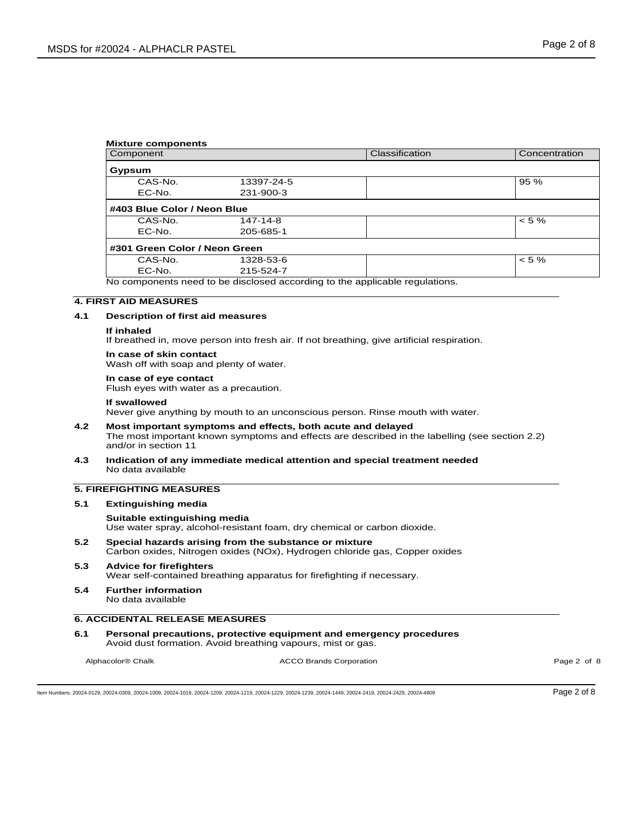| <b>Mixture components</b>     |            |                                                                             |               |
|-------------------------------|------------|-----------------------------------------------------------------------------|---------------|
| Component                     |            | Classification                                                              | Concentration |
| Gypsum                        |            |                                                                             |               |
| CAS-No.                       | 13397-24-5 |                                                                             | 95 %          |
| EC-No.                        | 231-900-3  |                                                                             |               |
| #403 Blue Color / Neon Blue   |            |                                                                             |               |
| CAS-No.                       | 147-14-8   |                                                                             | $< 5 \%$      |
| EC-No.                        | 205-685-1  |                                                                             |               |
| #301 Green Color / Neon Green |            |                                                                             |               |
| CAS-No.                       | 1328-53-6  |                                                                             | $< 5 \%$      |
| EC-No.                        | 215-524-7  |                                                                             |               |
|                               |            | No components need to be disclosed according to the applicable regulations. |               |

### **4. FIRST AID MEASURES**

### **4.1 Description of first aid measures**

#### **If inhaled**

If breathed in, move person into fresh air. If not breathing, give artificial respiration.

#### **In case of skin contact**

Wash off with soap and plenty of water.

#### **In case of eye contact**  Flush eyes with water as a precaution.

#### **If swallowed**

Never give anything by mouth to an unconscious person. Rinse mouth with water.

- **4.2 Most important symptoms and effects, both acute and delayed**  The most important known symptoms and effects are described in the labelling (see section 2.2) and/or in section 11
- **4.3 Indication of any immediate medical attention and special treatment needed**  No data available

# **5. FIREFIGHTING MEASURES**

#### **5.1 Extinguishing media**

### **Suitable extinguishing media**

Use water spray, alcohol-resistant foam, dry chemical or carbon dioxide.

- **5.2 Special hazards arising from the substance or mixture**  Carbon oxides, Nitrogen oxides (NOx), Hydrogen chloride gas, Copper oxides
- **5.3 Advice for firefighters**  Wear self-contained breathing apparatus for firefighting if necessary.
- **5.4 Further information**  No data available

# **6. ACCIDENTAL RELEASE MEASURES**

**6.1 Personal precautions, protective equipment and emergency procedures**  Avoid dust formation. Avoid breathing vapours, mist or gas.

Alphacolor® Chalk **ACCO Brands Corporation** ACCO Brands Corporation **ACCO Brands Corporation** Page 2 of 8

Item Numbers: 20024-0129, 20024-0309, 20024-1009, 20024-1019, 20024-1209, 20024-1219, 20024-1229, 20024-1239, 20024-1449, 20024-2419, 20024-2429, 20024-4809 Page 2 of 8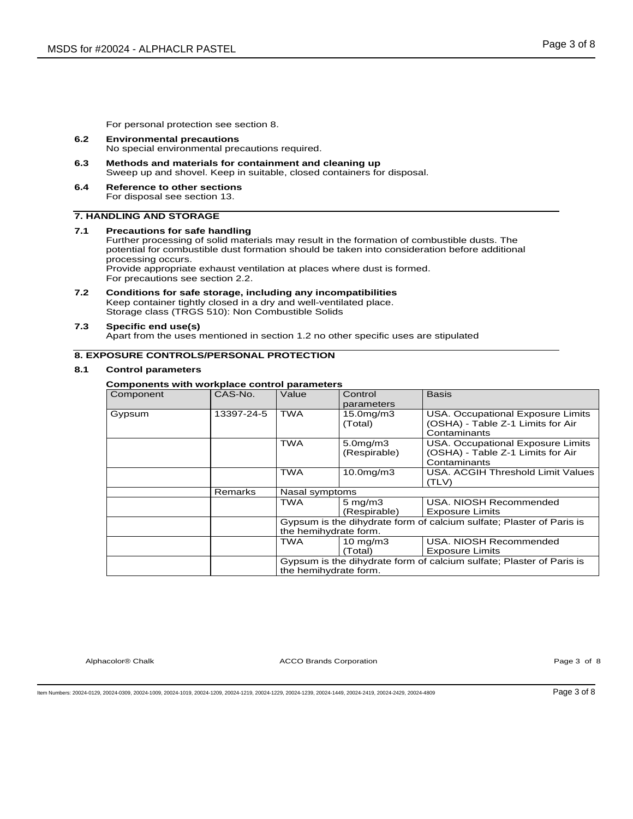For personal protection see section 8.

- **6.2 Environmental precautions**  No special environmental precautions required.
- **6.3 Methods and materials for containment and cleaning up**  Sweep up and shovel. Keep in suitable, closed containers for disposal.
- **6.4 Reference to other sections**  For disposal see section 13.

# **7. HANDLING AND STORAGE**

#### **7.1 Precautions for safe handling**  Further processing of solid materials may result in the formation of combustible dusts. The potential for combustible dust formation should be taken into consideration before additional processing occurs. Provide appropriate exhaust ventilation at places where dust is formed. For precautions see section 2.2.

**7.2 Conditions for safe storage, including any incompatibilities**  Keep container tightly closed in a dry and well-ventilated place. Storage class (TRGS 510): Non Combustible Solids

### **7.3 Specific end use(s)**

Apart from the uses mentioned in section 1.2 no other specific uses are stipulated

# **8. EXPOSURE CONTROLS/PERSONAL PROTECTION**

### **8.1 Control parameters**

### **Components with workplace control parameters**

| Component | CAS-No.    | Value                                                                                         | Control<br>parameters            | <b>Basis</b>                                                                           |
|-----------|------------|-----------------------------------------------------------------------------------------------|----------------------------------|----------------------------------------------------------------------------------------|
| Gypsum    | 13397-24-5 | <b>TWA</b>                                                                                    | 15.0mg/m3<br>(Total)             | USA. Occupational Exposure Limits<br>(OSHA) - Table Z-1 Limits for Air<br>Contaminants |
|           |            | TWA                                                                                           | $5.0$ mg/m $3$<br>(Respirable)   | USA. Occupational Exposure Limits<br>(OSHA) - Table Z-1 Limits for Air<br>Contaminants |
|           |            | TWA                                                                                           | $10.0$ mg/m $3$                  | USA, ACGIH Threshold Limit Values<br>(TLV)                                             |
|           | Remarks    | Nasal symptoms                                                                                |                                  |                                                                                        |
|           |            | TWA                                                                                           | $5 \text{ mg/m}$<br>(Respirable) | USA. NIOSH Recommended<br><b>Exposure Limits</b>                                       |
|           |            | the hemihydrate form.                                                                         |                                  | Gypsum is the dihydrate form of calcium sulfate; Plaster of Paris is                   |
|           |            | TWA                                                                                           | 10 mg/m $3$<br>(Total)           | USA, NIOSH Recommended<br><b>Exposure Limits</b>                                       |
|           |            | Gypsum is the dihydrate form of calcium sulfate: Plaster of Paris is<br>the hemihydrate form. |                                  |                                                                                        |

Alphacolor® Chalk **ACCO Brands Corporation** ACCO Brands Corporation **ACCO Brands Corporation Page 3 of 8** 

Item Numbers: 20024-0129, 20024-0309, 20024-1009, 20024-1019, 20024-1209, 20024-1219, 20024-1229, 20024-1239, 20024-1449, 20024-2419, 20024-2429, 20024-4809 Page 3 of 8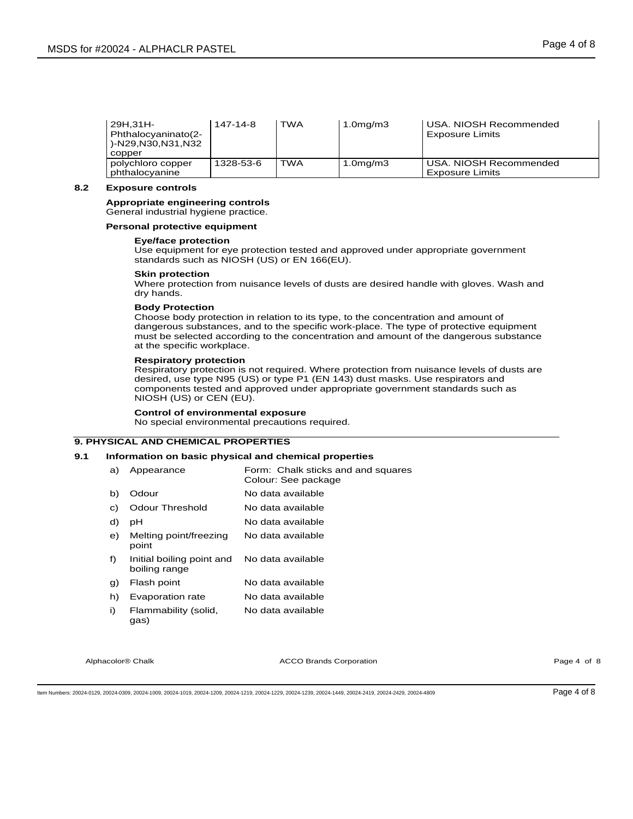| l 29H.31H-<br>Phthalocyaninato(2-<br>)-N29,N30,N31,N32<br>copper | 147-14-8  | <b>TWA</b> | 1.0 <sub>mg</sub> /m3 | USA. NIOSH Recommended<br><b>Exposure Limits</b> |
|------------------------------------------------------------------|-----------|------------|-----------------------|--------------------------------------------------|
| polychloro copper<br>phthalocyanine                              | 1328-53-6 | TWA        | 1.0 <sub>mg</sub> /m3 | USA, NIOSH Recommended<br><b>Exposure Limits</b> |

### **8.2 Exposure controls**

#### **Appropriate engineering controls**  General industrial hygiene practice.

### **Personal protective equipment**

### **Eye/face protection**

Use equipment for eye protection tested and approved under appropriate government standards such as NIOSH (US) or EN 166(EU).

### **Skin protection**

Where protection from nuisance levels of dusts are desired handle with gloves. Wash and dry hands.

### **Body Protection**

Choose body protection in relation to its type, to the concentration and amount of dangerous substances, and to the specific work-place. The type of protective equipment must be selected according to the concentration and amount of the dangerous substance at the specific workplace.

### **Respiratory protection**

Respiratory protection is not required. Where protection from nuisance levels of dusts are desired, use type N95 (US) or type P1 (EN 143) dust masks. Use respirators and components tested and approved under appropriate government standards such as NIOSH (US) or CEN (EU).

# **Control of environmental exposure**

No special environmental precautions required.

# **9. PHYSICAL AND CHEMICAL PROPERTIES**

### **9.1 Information on basic physical and chemical properties**

| a) | Appearance                                 | Form: Chalk sticks and and squares<br>Colour: See package |
|----|--------------------------------------------|-----------------------------------------------------------|
| b) | Odour                                      | No data available                                         |
| C) | <b>Odour Threshold</b>                     | No data available                                         |
| d) | рH                                         | No data available                                         |
| e) | Melting point/freezing<br>point            | No data available                                         |
| f) | Initial boiling point and<br>boiling range | No data available                                         |
| g) | Flash point                                | No data available                                         |
| h) | Evaporation rate                           | No data available                                         |
| i) | Flammability (solid,<br>gas)               | No data available                                         |

Alphacolor® Chalk **Acco Brands Corporation** ACCO Brands Corporation **Acco Acco Acco Acco Brands Corporation** Page 4 of 8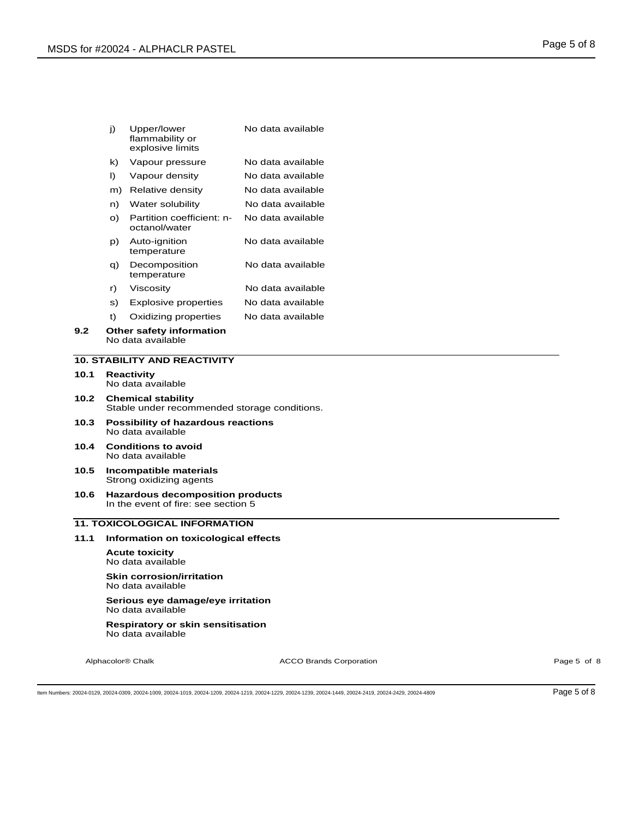| j) | Upper/lower<br>flammability or<br>explosive limits | No data available |
|----|----------------------------------------------------|-------------------|
| k) | Vapour pressure                                    | No data available |
| I) | Vapour density                                     | No data available |
| m) | Relative density                                   | No data available |
| n) | Water solubility                                   | No data available |
| O) | Partition coefficient: n-<br>octanol/water         | No data available |
| p) | Auto-ignition<br>temperature                       | No data available |
| q) | Decomposition<br>temperature                       | No data available |
| r) | Viscosity                                          | No data available |
| s) | <b>Explosive properties</b>                        | No data available |
| t) | Oxidizing properties                               | No data available |

### **9.2 Other safety information**  No data available

# **10. STABILITY AND REACTIVITY**

- **10.1 Reactivity**  No data available
- **10.2 Chemical stability**  Stable under recommended storage conditions.
- **10.3 Possibility of hazardous reactions**  No data available
- **10.4 Conditions to avoid**  No data available
- **10.5 Incompatible materials**  Strong oxidizing agents
- **10.6 Hazardous decomposition products**  In the event of fire: see section 5

# **11. TOXICOLOGICAL INFORMATION**

### **11.1 Information on toxicological effects**

**Acute toxicity**  No data available

**Skin corrosion/irritation**  No data available

#### **Serious eye damage/eye irritation**  No data available

**Respiratory or skin sensitisation**  No data available

Alphacolor® Chalk **ACCO Brands Corporation** ACCO Brands Corporation **ACCO Brands Corporation Page 5 of 8** 

Item Numbers: 20024-0129, 20024-0309, 20024-1009, 20024-1019, 20024-1209, 20024-1219, 20024-1229, 20024-1239, 20024-1449, 20024-2419, 20024-2429, 20024-4809 Page 5 of 8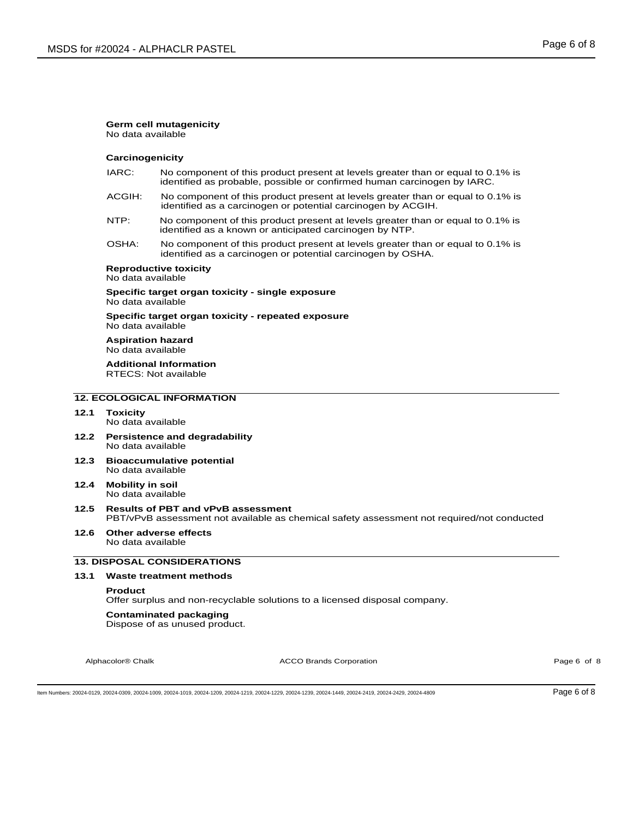# **Germ cell mutagenicity**

No data available

### **Carcinogenicity**

- IARC: No component of this product present at levels greater than or equal to 0.1% is identified as probable, possible or confirmed human carcinogen by IARC.
- ACGIH: No component of this product present at levels greater than or equal to 0.1% is identified as a carcinogen or potential carcinogen by ACGIH.
- NTP: No component of this product present at levels greater than or equal to 0.1% is identified as a known or anticipated carcinogen by NTP.
- OSHA: No component of this product present at levels greater than or equal to 0.1% is identified as a carcinogen or potential carcinogen by OSHA.

# **Reproductive toxicity**

No data available

### **Specific target organ toxicity - single exposure**  No data available

**Specific target organ toxicity - repeated exposure**  No data available

**Aspiration hazard**  No data available

**Additional Information**  RTECS: Not available

# **12. ECOLOGICAL INFORMATION**

# **12.1 Toxicity**

- No data available
- **12.2 Persistence and degradability**  No data available
- **12.3 Bioaccumulative potential**  No data available
- **12.4 Mobility in soil**  No data available
- **12.5 Results of PBT and vPvB assessment**  PBT/vPvB assessment not available as chemical safety assessment not required/not conducted
- **12.6 Other adverse effects**  No data available

# **13. DISPOSAL CONSIDERATIONS**

### **13.1 Waste treatment methods**

#### **Product**

Offer surplus and non-recyclable solutions to a licensed disposal company.

#### **Contaminated packaging**

Dispose of as unused product.

Alphacolor® Chalk **Acco Brands Corporation** ACCO Brands Corporation **Acco Acco Acco Acco Acco Brands Corporation** Page 6 of 8

Item Numbers: 20024-0129, 20024-0309, 20024-1009, 20024-1019, 20024-1209, 20024-1219, 20024-1229, 20024-1239, 20024-1449, 20024-2419, 20024-2429, 20024-4809 Page 6 of 8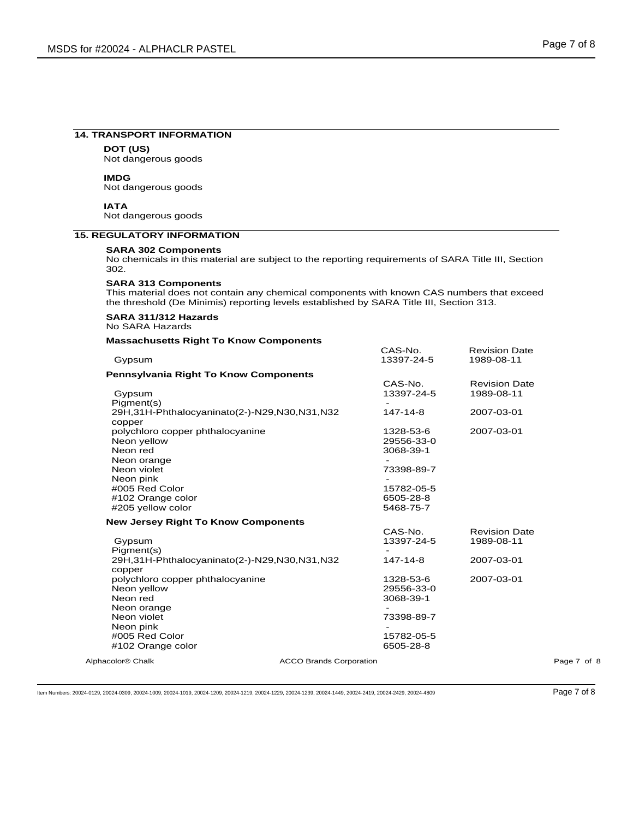#### **14. TRANSPORT INFORMATION**

**DOT (US)** Not dangerous goods

### **IMDG**

Not dangerous goods

**IATA** Not dangerous goods

### **15. REGULATORY INFORMATION**

### **SARA 302 Components**

No chemicals in this material are subject to the reporting requirements of SARA Title III, Section 302.

#### **SARA 313 Components**

This material does not contain any chemical components with known CAS numbers that exceed the threshold (De Minimis) reporting levels established by SARA Title III, Section 313.

### **SARA 311/312 Hazards**  No SARA Hazards

### **Massachusetts Right To Know Components**

| Gypsum                                                          | CAS-No.<br>13397-24-5 | <b>Revision Date</b><br>1989-08-11 |             |
|-----------------------------------------------------------------|-----------------------|------------------------------------|-------------|
| <b>Pennsylvania Right To Know Components</b>                    |                       |                                    |             |
|                                                                 | CAS-No.               | <b>Revision Date</b>               |             |
| Gypsum                                                          | 13397-24-5            | 1989-08-11                         |             |
| Pigment(s)                                                      |                       |                                    |             |
| 29H,31H-Phthalocyaninato(2-)-N29,N30,N31,N32                    | 147-14-8              | 2007-03-01                         |             |
| copper                                                          |                       |                                    |             |
| polychloro copper phthalocyanine                                | 1328-53-6             | 2007-03-01                         |             |
| Neon yellow                                                     | 29556-33-0            |                                    |             |
| Neon red                                                        | 3068-39-1             |                                    |             |
| Neon orange                                                     |                       |                                    |             |
| Neon violet                                                     | 73398-89-7            |                                    |             |
| Neon pink                                                       |                       |                                    |             |
| #005 Red Color                                                  | 15782-05-5            |                                    |             |
| #102 Orange color                                               | 6505-28-8             |                                    |             |
| #205 yellow color                                               | 5468-75-7             |                                    |             |
| <b>New Jersey Right To Know Components</b>                      |                       |                                    |             |
|                                                                 | CAS-No.               | <b>Revision Date</b>               |             |
| Gypsum                                                          | 13397-24-5            | 1989-08-11                         |             |
| Pigment(s)                                                      |                       |                                    |             |
| 29H,31H-Phthalocyaninato(2-)-N29,N30,N31,N32                    | 147-14-8              | 2007-03-01                         |             |
| copper                                                          |                       |                                    |             |
| polychloro copper phthalocyanine                                | 1328-53-6             | 2007-03-01                         |             |
| Neon yellow                                                     | 29556-33-0            |                                    |             |
| Neon red                                                        | 3068-39-1             |                                    |             |
| Neon orange                                                     |                       |                                    |             |
| Neon violet                                                     | 73398-89-7            |                                    |             |
| Neon pink                                                       |                       |                                    |             |
| #005 Red Color                                                  | 15782-05-5            |                                    |             |
| #102 Orange color                                               | 6505-28-8             |                                    |             |
| Alphacolor <sup>®</sup> Chalk<br><b>ACCO Brands Corporation</b> |                       |                                    | Page 7 of 8 |

Item Numbers: 20024-0129, 20024-0309, 20024-1009, 20024-1019, 20024-1209, 20024-1219, 20024-1229, 20024-1239, 20024-1449, 20024-2419, 20024-2429, 20024-4809 Page 7 of 8